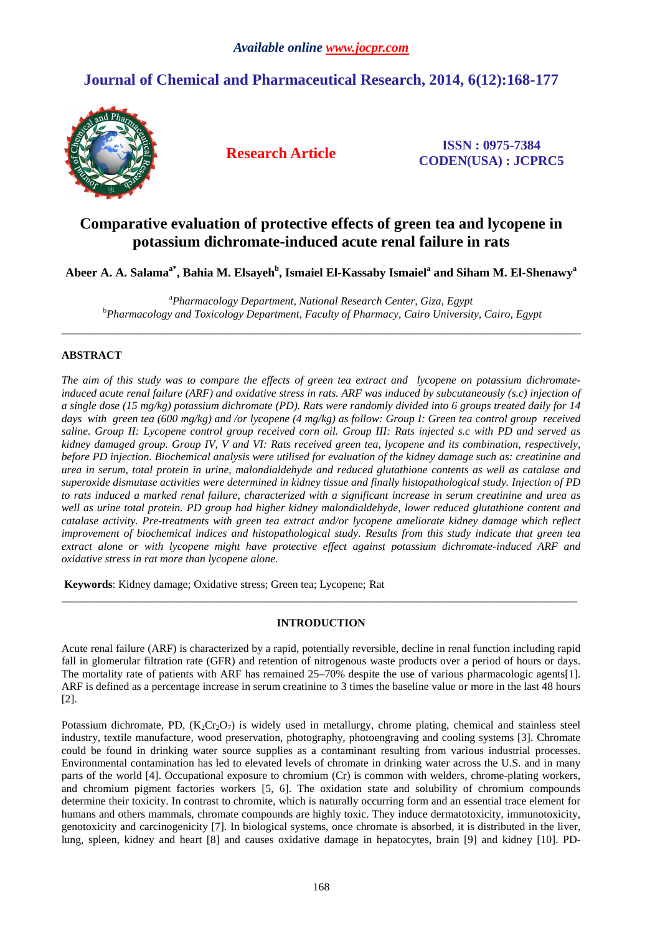# **Journal of Chemical and Pharmaceutical Research, 2014, 6(12):168-177**



**Research Article ISSN : 0975-7384 CODEN(USA) : JCPRC5**

# **Comparative evaluation of protective effects of green tea and lycopene in potassium dichromate-induced acute renal failure in rats**

**Abeer A. A. Salamaa\*, Bahia M. Elsayeh<sup>b</sup> , Ismaiel El-Kassaby Ismaiel<sup>a</sup> and Siham M. El-Shenawy<sup>a</sup>**

<sup>a</sup>*Pharmacology Department, National Research Center, Giza, Egypt*  <sup>b</sup>*Pharmacology and Toxicology Department, Faculty of Pharmacy, Cairo University, Cairo, Egypt*  \_\_\_\_\_\_\_\_\_\_\_\_\_\_\_\_\_\_\_\_\_\_\_\_\_\_\_\_\_\_\_\_\_\_\_\_\_\_\_\_\_\_\_\_\_\_\_\_\_\_\_\_\_\_\_\_\_\_\_\_\_\_\_\_\_\_\_\_\_\_\_\_\_\_\_\_\_\_

# **ABSTRACT**

*The aim of this study was to compare the effects of green tea extract and lycopene on potassium dichromateinduced acute renal failure (ARF) and oxidative stress in rats. ARF was induced by subcutaneously (s.c) injection of a single dose (15 mg/kg) potassium dichromate (PD). Rats were randomly divided into 6 groups treated daily for 14*  days with green tea (600 mg/kg) and /or lycopene (4 mg/kg) as follow: Group I: Green tea control group received *saline. Group II: Lycopene control group received corn oil. Group III: Rats injected s.c with PD and served as kidney damaged group. Group IV, V and VI: Rats received green tea, lycopene and its combination, respectively, before PD injection. Biochemical analysis were utilised for evaluation of the kidney damage such as: creatinine and urea in serum, total protein in urine, malondialdehyde and reduced glutathione contents as well as catalase and superoxide dismutase activities were determined in kidney tissue and finally histopathological study. Injection of PD to rats induced a marked renal failure, characterized with a significant increase in serum creatinine and urea as well as urine total protein. PD group had higher kidney malondialdehyde, lower reduced glutathione content and catalase activity. Pre-treatments with green tea extract and/or lycopene ameliorate kidney damage which reflect improvement of biochemical indices and histopathological study. Results from this study indicate that green tea extract alone or with lycopene might have protective effect against potassium dichromate-induced ARF and oxidative stress in rat more than lycopene alone.* 

 **Keywords**: Kidney damage; Oxidative stress; Green tea; Lycopene; Rat

# **INTRODUCTION**

\_\_\_\_\_\_\_\_\_\_\_\_\_\_\_\_\_\_\_\_\_\_\_\_\_\_\_\_\_\_\_\_\_\_\_\_\_\_\_\_\_\_\_\_\_\_\_\_\_\_\_\_\_\_\_\_\_\_\_\_\_\_\_\_\_\_\_\_\_\_\_\_\_\_\_\_\_\_\_\_\_\_\_\_\_\_\_\_\_\_\_\_\_

Acute renal failure (ARF) is characterized by a rapid, potentially reversible, decline in renal function including rapid fall in glomerular filtration rate (GFR) and retention of nitrogenous waste products over a period of hours or days. The mortality rate of patients with ARF has remained 25–70% despite the use of various pharmacologic agents[1]. ARF is defined as a percentage increase in serum creatinine to 3 times the baseline value or more in the last 48 hours [2].

Potassium dichromate, PD,  $(K_2Cr_2O_7)$  is widely used in metallurgy, chrome plating, chemical and stainless steel industry, textile manufacture, wood preservation, photography, photoengraving and cooling systems [3]. Chromate could be found in drinking water source supplies as a contaminant resulting from various industrial processes. Environmental contamination has led to elevated levels of chromate in drinking water across the U.S. and in many parts of the world [4]. Occupational exposure to chromium (Cr) is common with welders, chrome-plating workers, and chromium pigment factories workers [5, 6]. The oxidation state and solubility of chromium compounds determine their toxicity. In contrast to chromite, which is naturally occurring form and an essential trace element for humans and others mammals, chromate compounds are highly toxic. They induce dermatotoxicity, immunotoxicity, genotoxicity and carcinogenicity [7]. In biological systems, once chromate is absorbed, it is distributed in the liver, lung, spleen, kidney and heart [8] and causes oxidative damage in hepatocytes, brain [9] and kidney [10]. PD-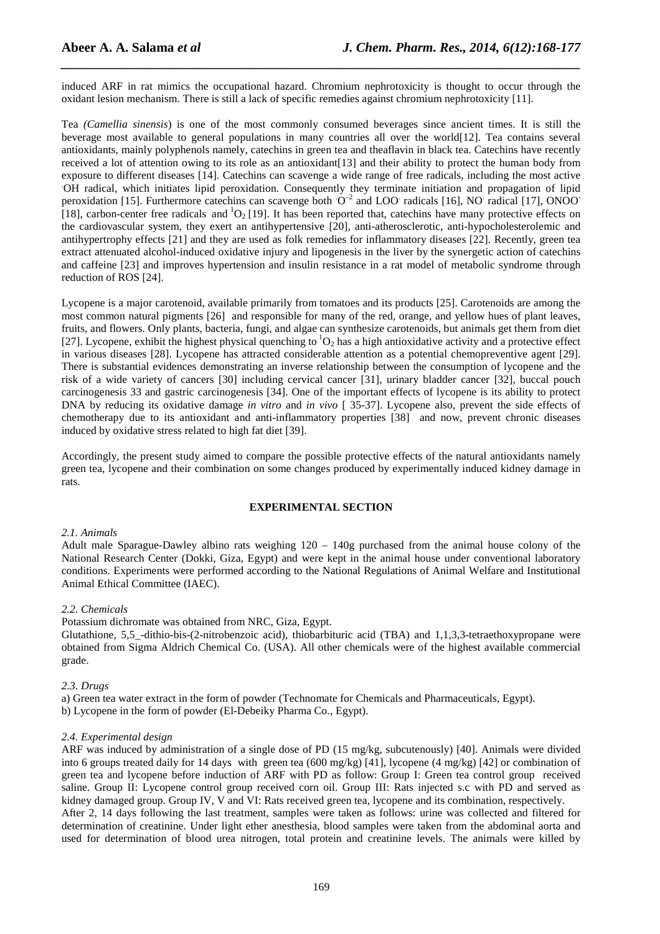induced ARF in rat mimics the occupational hazard. Chromium nephrotoxicity is thought to occur through the oxidant lesion mechanism. There is still a lack of specific remedies against chromium nephrotoxicity [11].

*\_\_\_\_\_\_\_\_\_\_\_\_\_\_\_\_\_\_\_\_\_\_\_\_\_\_\_\_\_\_\_\_\_\_\_\_\_\_\_\_\_\_\_\_\_\_\_\_\_\_\_\_\_\_\_\_\_\_\_\_\_\_\_\_\_\_\_\_\_\_\_\_\_\_\_\_\_\_*

Tea *(Camellia sinensis*) is one of the most commonly consumed beverages since ancient times. It is still the beverage most available to general populations in many countries all over the world[12]. Tea contains several antioxidants, mainly polyphenols namely, catechins in green tea and theaflavin in black tea. Catechins have recently received a lot of attention owing to its role as an antioxidant[13] and their ability to protect the human body from exposure to different diseases [14]. Catechins can scavenge a wide range of free radicals, including the most active .OH radical, which initiates lipid peroxidation. Consequently they terminate initiation and propagation of lipid peroxidation [15]. Furthermore catechins can scavenge both  $O^{-2}$  and LOO radicals [16], NO radical [17], ONOO [18], carbon-center free radicals and  ${}^{1}O_{2}$  [19]. It has been reported that, catechins have many protective effects on the cardiovascular system, they exert an antihypertensive [20], anti-atherosclerotic, anti-hypocholesterolemic and antihypertrophy effects [21] and they are used as folk remedies for inflammatory diseases [22]. Recently, green tea extract attenuated alcohol-induced oxidative injury and lipogenesis in the liver by the synergetic action of catechins and caffeine [23] and improves hypertension and insulin resistance in a rat model of metabolic syndrome through reduction of ROS [24].

Lycopene is a major carotenoid, available primarily from tomatoes and its products [25]. Carotenoids are among the most common natural pigments [26] and responsible for many of the red, orange, and yellow hues of plant leaves, fruits, and flowers. Only plants, bacteria, fungi, and algae can synthesize carotenoids, but animals get them from diet [27]. Lycopene, exhibit the highest physical quenching to  ${}^{1}O_{2}$  has a high antioxidative activity and a protective effect in various diseases [28]. Lycopene has attracted considerable attention as a potential chemopreventive agent [29]. There is substantial evidences demonstrating an inverse relationship between the consumption of lycopene and the risk of a wide variety of cancers [30] including cervical cancer [31], urinary bladder cancer [32], buccal pouch carcinogenesis 33 and gastric carcinogenesis [34]. One of the important effects of lycopene is its ability to protect DNA by reducing its oxidative damage *in vitro* and *in vivo* [ 35-37]. Lycopene also, prevent the side effects of chemotherapy due to its antioxidant and anti-inflammatory properties [38] and now, prevent chronic diseases induced by oxidative stress related to high fat diet [39].

Accordingly, the present study aimed to compare the possible protective effects of the natural antioxidants namely green tea, lycopene and their combination on some changes produced by experimentally induced kidney damage in rats.

# **EXPERIMENTAL SECTION**

#### *2.1. Animals*

Adult male Sparague-Dawley albino rats weighing 120 – 140g purchased from the animal house colony of the National Research Center (Dokki, Giza, Egypt) and were kept in the animal house under conventional laboratory conditions. Experiments were performed according to the National Regulations of Animal Welfare and Institutional Animal Ethical Committee (IAEC).

# *2.2. Chemicals*

Potassium dichromate was obtained from NRC, Giza, Egypt.

Glutathione, 5,5 -dithio-bis-(2-nitrobenzoic acid), thiobarbituric acid (TBA) and 1,1,3,3-tetraethoxypropane were obtained from Sigma Aldrich Chemical Co. (USA). All other chemicals were of the highest available commercial grade.

#### *2.3. Drugs*

a) Green tea water extract in the form of powder (Technomate for Chemicals and Pharmaceuticals, Egypt). b) Lycopene in the form of powder (El-Debeiky Pharma Co., Egypt).

#### *2.4. Experimental design*

ARF was induced by administration of a single dose of PD (15 mg/kg, subcutenously) [40]. Animals were divided into 6 groups treated daily for 14 days with green tea (600 mg/kg) [41], lycopene (4 mg/kg) [42] or combination of green tea and lycopene before induction of ARF with PD as follow: Group I: Green tea control group received saline. Group II: Lycopene control group received corn oil. Group III: Rats injected s.c with PD and served as kidney damaged group. Group IV, V and VI: Rats received green tea, lycopene and its combination, respectively. After 2, 14 days following the last treatment, samples were taken as follows: urine was collected and filtered for determination of creatinine. Under light ether anesthesia, blood samples were taken from the abdominal aorta and used for determination of blood urea nitrogen, total protein and creatinine levels. The animals were killed by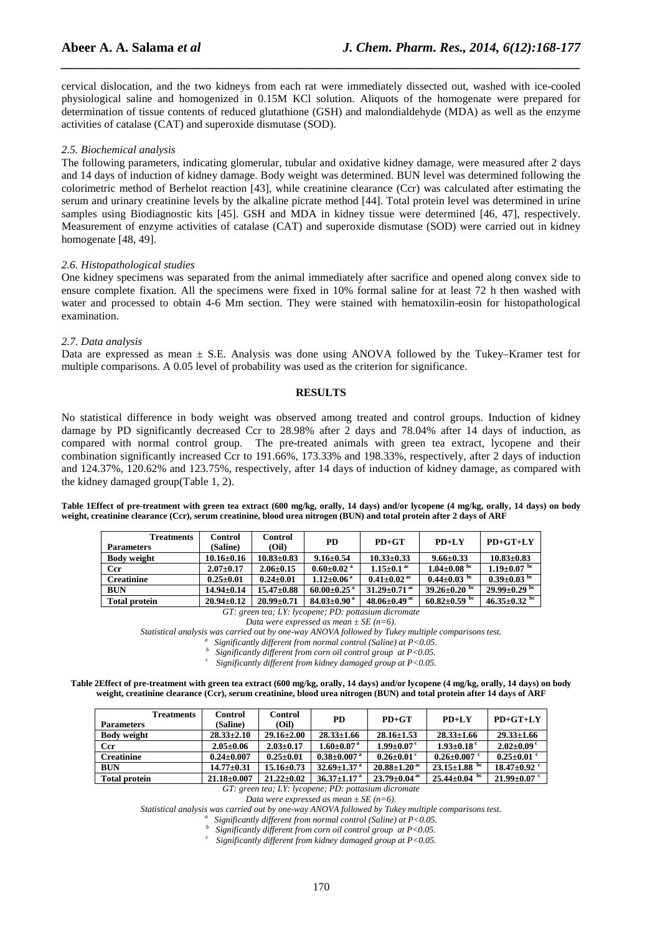cervical dislocation, and the two kidneys from each rat were immediately dissected out, washed with ice-cooled physiological saline and homogenized in 0.15M KCl solution. Aliquots of the homogenate were prepared for determination of tissue contents of reduced glutathione (GSH) and malondialdehyde (MDA) as well as the enzyme activities of catalase (CAT) and superoxide dismutase (SOD).

*\_\_\_\_\_\_\_\_\_\_\_\_\_\_\_\_\_\_\_\_\_\_\_\_\_\_\_\_\_\_\_\_\_\_\_\_\_\_\_\_\_\_\_\_\_\_\_\_\_\_\_\_\_\_\_\_\_\_\_\_\_\_\_\_\_\_\_\_\_\_\_\_\_\_\_\_\_\_*

#### *2.5. Biochemical analysis*

The following parameters, indicating glomerular, tubular and oxidative kidney damage, were measured after 2 days and 14 days of induction of kidney damage. Body weight was determined. BUN level was determined following the colorimetric method of Berhelot reaction [43], while creatinine clearance (Ccr) was calculated after estimating the serum and urinary creatinine levels by the alkaline picrate method [44]. Total protein level was determined in urine samples using Biodiagnostic kits [45]. GSH and MDA in kidney tissue were determined [46, 47], respectively. Measurement of enzyme activities of catalase (CAT) and superoxide dismutase (SOD) were carried out in kidney homogenate [48, 49].

#### *2.6. Histopathological studies*

One kidney specimens was separated from the animal immediately after sacrifice and opened along convex side to ensure complete fixation. All the specimens were fixed in 10% formal saline for at least 72 h then washed with water and processed to obtain 4-6 Mm section. They were stained with hematoxilin-eosin for histopathological examination.

#### *2.7. Data analysis*

Data are expressed as mean ± S*.*E. Analysis was done using ANOVA followed by the Tukey–Kramer test for multiple comparisons. A 0.05 level of probability was used as the criterion for significance.

# **RESULTS**

No statistical difference in body weight was observed among treated and control groups. Induction of kidney damage by PD significantly decreased Ccr to 28.98% after 2 days and 78.04% after 14 days of induction, as compared with normal control group. The pre-treated animals with green tea extract, lycopene and their combination significantly increased Ccr to 191.66%, 173.33% and 198.33%, respectively, after 2 days of induction and 124.37%, 120.62% and 123.75%, respectively, after 14 days of induction of kidney damage, as compared with the kidney damaged group(Table 1, 2).

**Table 1Effect of pre-treatment with green tea extract (600 mg/kg, orally, 14 days) and/or lycopene (4 mg/kg, orally, 14 days) on body weight, creatinine clearance (Ccr), serum creatinine, blood urea nitrogen (BUN) and total protein after 2 days of ARF** 

| Control<br><b>Treatments</b><br>(Saline)<br>(Oil)<br><b>Parameters</b> | <b>PD</b>                     | $PD+GT$                        | $PD+LY$                | $PD+GT+LY$          |
|------------------------------------------------------------------------|-------------------------------|--------------------------------|------------------------|---------------------|
| $10.16 \pm 0.16$<br>$10.83 \pm 0.83$<br><b>Body weight</b>             | $9.16 \pm 0.54$               | $10.33 \pm 0.33$               | $9.66 \pm 0.33$        | $10.83 \pm 0.83$    |
| <b>Ccr</b><br>$2.07 \pm 0.17$<br>$2.06 \pm 0.15$                       | $0.60 \pm 0.02$ <sup>a</sup>  | $1.15 \pm 0.1$ <sup>ac</sup>   | $1.04 \pm 0.08$ bc     | $1.19 \pm 0.07$ bc  |
| $0.24 \pm 0.01$<br>$0.25 \pm 0.01$<br><b>Creatinine</b>                | $1.12 \pm 0.06^{\text{a}}$    | $0.41 \pm 0.02$ <sup>ac</sup>  | $0.44 \pm 0.03$ bc     | $0.39 \pm 0.03$ bc  |
| <b>BUN</b><br>$14.94 \pm 0.14$<br>$15.47\pm0.88$                       | $60.00 \pm 0.25$ <sup>a</sup> | $31.29 \pm 0.71$ <sup>ac</sup> | bc<br>$39.26 \pm 0.20$ | $29.99\pm0.29$ bc   |
| $20.99 \pm 0.71$<br>$20.94 \pm 0.12$<br><b>Total protein</b>           | $84.03 \pm 0.90$ <sup>a</sup> | 48.06 $\pm$ 0.49 ac            | bc<br>$60.82{\pm}0.59$ | 46.35 $\pm$ 0.32 bc |

*GT: green tea; LY: lycopene; PD: pottasium dicromate* 

*Statistical analysis was carried out by one-way ANOVA followed by Tukey multiple comparisons test. a*

 *Significantly different from normal control (Saline) at P<0.05. b*

 *Significantly different from corn oil control group at P<0.05.* 

*<sup>c</sup>Significantly different from kidney damaged group at P<0.05.* 

**Table 2Effect of pre-treatment with green tea extract (600 mg/kg, orally, 14 days) and/or lycopene (4 mg/kg, orally, 14 days) on body weight, creatinine clearance (Ccr), serum creatinine, blood urea nitrogen (BUN) and total protein after 14 days of ARF** 

| <b>Treatments</b>    | <b>Control</b>    | <b>Control</b>   | <b>PD</b>                     | $PD+GT$                        | $PD+LY$                      | $PD+GT+LY$         |
|----------------------|-------------------|------------------|-------------------------------|--------------------------------|------------------------------|--------------------|
| <b>Parameters</b>    | (Saline)          | (Oil)            |                               |                                |                              |                    |
| <b>Body weight</b>   | $28.33 \pm 2.10$  | $29.16 \pm 2.00$ | $28.33 \pm 1.66$              | $28.16 \pm 1.53$               | $28.33 \pm 1.66$             | $29.33 \pm 1.66$   |
| <b>Ccr</b>           | $2.05 \pm 0.06$   | $2.03 \pm 0.17$  | $1.60 \pm 0.07^{\text{ a}}$   | $1.99 \pm 0.07$ c              | $1.93 \pm 0.18$ <sup>c</sup> | $2.02 \pm 0.09$ c  |
| <b>Creatinine</b>    | $0.24 \pm 0.007$  | $0.25 \pm 0.01$  | $0.38 \pm 0.007$ <sup>a</sup> | $0.26 \pm 0.01$ c              | $0.26 \pm 0.007$ c           | $0.25 \pm 0.01$ c  |
| <b>BUN</b>           | $14.77 \pm 0.31$  | $15.16 \pm 0.73$ | $32.69 \pm 1.37$ <sup>a</sup> | $20.88 \pm 1.20$ <sup>ac</sup> | $23.15 \pm 1.88$ bc          | $18.47 \pm 0.92$ c |
| <b>Total protein</b> | $21.18 \pm 0.007$ | $21.22 \pm 0.02$ | $36.37 \pm 1.17$ <sup>a</sup> | $23.79 \pm 0.04$ ac            | bc<br>$25.44 \pm 0.04$       | $21.99 \pm 0.07$ c |

*GT: green tea; LY: lycopene; PD: pottasium dicromate* 

*Data were expressed as mean ± SE (n=6).* 

*Statistical analysis was carried out by one-way ANOVA followed by Tukey multiple comparisons test.* 

*a Significantly different from normal control (Saline) at P<0.05. b*

 *Significantly different from corn oil control group at P<0.05.* 

*<sup>c</sup>Significantly different from kidney damaged group at P<0.05.* 

*Data were expressed as mean*  $\pm$  *SE* (*n*=6).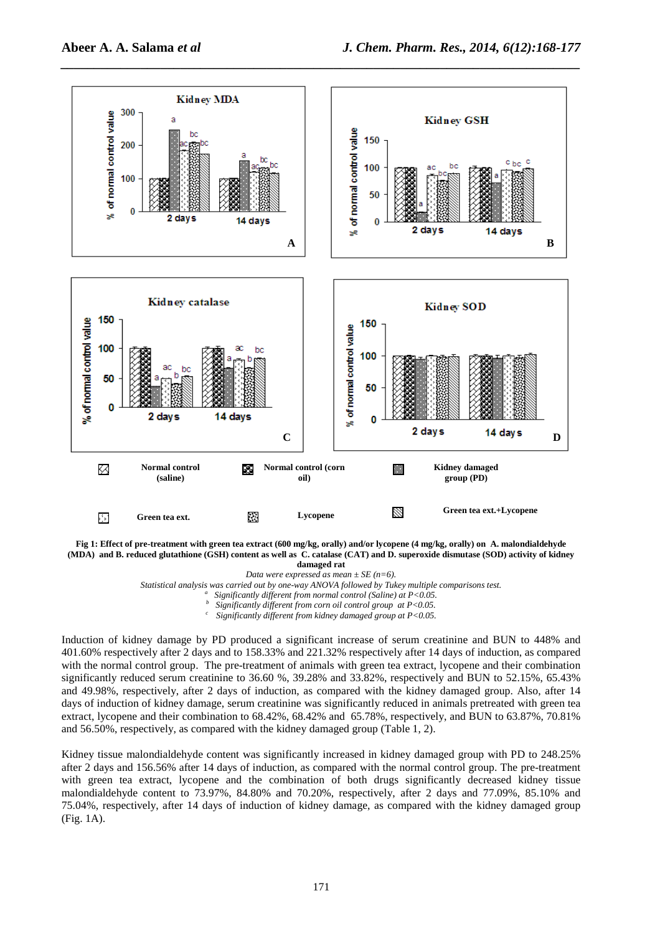

**Fig 1: Effect of pre-treatment with green tea extract (600 mg/kg, orally) and/or lycopene (4 mg/kg, orally) on A. malondialdehyde (MDA) and B. reduced glutathione (GSH) content as well as C. catalase (CAT) and D. superoxide dismutase (SOD) activity of kidney damaged rat** 

*Data were expressed as mean ± SE (n=6).* 

*Statistical analysis was carried out by one-way ANOVA followed by Tukey multiple comparisons test.* 

*a Significantly different from normal control (Saline) at P<0.05.* 

*b Significantly different from corn oil control group at P<0.05.* 

*<sup>c</sup>Significantly different from kidney damaged group at P<0.05.* 

Induction of kidney damage by PD produced a significant increase of serum creatinine and BUN to 448% and 401.60% respectively after 2 days and to 158.33% and 221.32% respectively after 14 days of induction, as compared with the normal control group. The pre-treatment of animals with green tea extract, lycopene and their combination significantly reduced serum creatinine to 36.60 %, 39.28% and 33.82%, respectively and BUN to 52.15%, 65.43% and 49.98%, respectively, after 2 days of induction, as compared with the kidney damaged group. Also, after 14 days of induction of kidney damage, serum creatinine was significantly reduced in animals pretreated with green tea extract, lycopene and their combination to 68.42%, 68.42% and 65.78%, respectively, and BUN to 63.87%, 70.81% and 56.50%, respectively, as compared with the kidney damaged group (Table 1, 2).

Kidney tissue malondialdehyde content was significantly increased in kidney damaged group with PD to 248.25% after 2 days and 156.56% after 14 days of induction, as compared with the normal control group. The pre-treatment with green tea extract, lycopene and the combination of both drugs significantly decreased kidney tissue malondialdehyde content to 73.97%, 84.80% and 70.20%, respectively, after 2 days and 77.09%, 85.10% and 75.04%, respectively, after 14 days of induction of kidney damage, as compared with the kidney damaged group (Fig. 1A).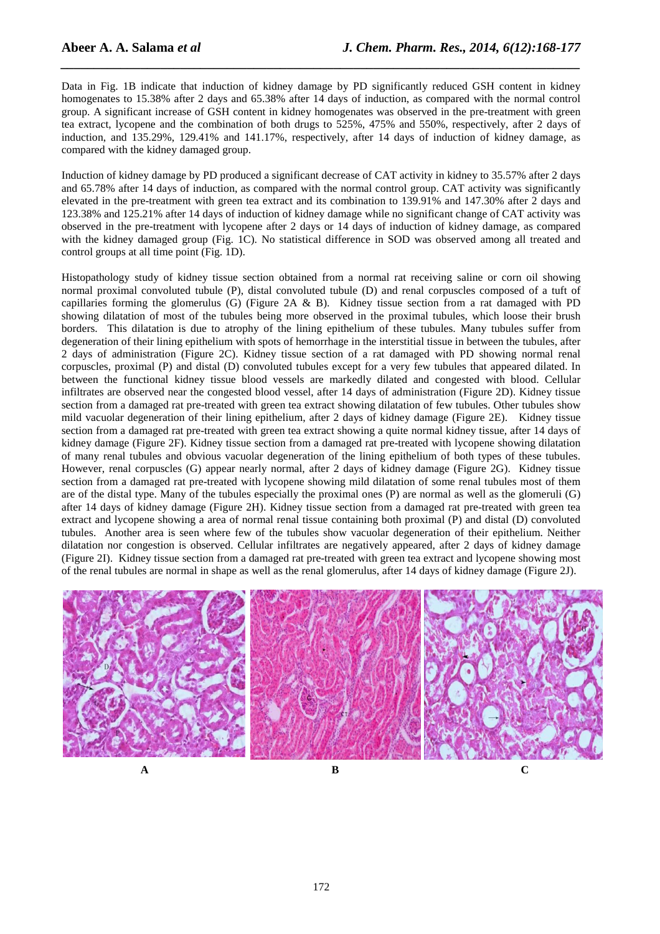Data in Fig. 1B indicate that induction of kidney damage by PD significantly reduced GSH content in kidney homogenates to 15.38% after 2 days and 65.38% after 14 days of induction, as compared with the normal control group. A significant increase of GSH content in kidney homogenates was observed in the pre-treatment with green tea extract, lycopene and the combination of both drugs to 525%, 475% and 550%, respectively, after 2 days of induction, and 135.29%, 129.41% and 141.17%, respectively, after 14 days of induction of kidney damage, as compared with the kidney damaged group.

*\_\_\_\_\_\_\_\_\_\_\_\_\_\_\_\_\_\_\_\_\_\_\_\_\_\_\_\_\_\_\_\_\_\_\_\_\_\_\_\_\_\_\_\_\_\_\_\_\_\_\_\_\_\_\_\_\_\_\_\_\_\_\_\_\_\_\_\_\_\_\_\_\_\_\_\_\_\_*

Induction of kidney damage by PD produced a significant decrease of CAT activity in kidney to 35.57% after 2 days and 65.78% after 14 days of induction, as compared with the normal control group. CAT activity was significantly elevated in the pre-treatment with green tea extract and its combination to 139.91% and 147.30% after 2 days and 123.38% and 125.21% after 14 days of induction of kidney damage while no significant change of CAT activity was observed in the pre-treatment with lycopene after 2 days or 14 days of induction of kidney damage, as compared with the kidney damaged group (Fig. 1C). No statistical difference in SOD was observed among all treated and control groups at all time point (Fig. 1D).

Histopathology study of kidney tissue section obtained from a normal rat receiving saline or corn oil showing normal proximal convoluted tubule (P), distal convoluted tubule (D) and renal corpuscles composed of a tuft of capillaries forming the glomerulus (G) (Figure 2A & B). Kidney tissue section from a rat damaged with PD showing dilatation of most of the tubules being more observed in the proximal tubules, which loose their brush borders. This dilatation is due to atrophy of the lining epithelium of these tubules. Many tubules suffer from degeneration of their lining epithelium with spots of hemorrhage in the interstitial tissue in between the tubules, after 2 days of administration (Figure 2C). Kidney tissue section of a rat damaged with PD showing normal renal corpuscles, proximal (P) and distal (D) convoluted tubules except for a very few tubules that appeared dilated. In between the functional kidney tissue blood vessels are markedly dilated and congested with blood. Cellular infiltrates are observed near the congested blood vessel, after 14 days of administration (Figure 2D). Kidney tissue section from a damaged rat pre-treated with green tea extract showing dilatation of few tubules. Other tubules show mild vacuolar degeneration of their lining epithelium, after 2 days of kidney damage (Figure 2E). Kidney tissue section from a damaged rat pre-treated with green tea extract showing a quite normal kidney tissue, after 14 days of kidney damage (Figure 2F). Kidney tissue section from a damaged rat pre-treated with lycopene showing dilatation of many renal tubules and obvious vacuolar degeneration of the lining epithelium of both types of these tubules. However, renal corpuscles (G) appear nearly normal, after 2 days of kidney damage (Figure 2G). Kidney tissue section from a damaged rat pre-treated with lycopene showing mild dilatation of some renal tubules most of them are of the distal type. Many of the tubules especially the proximal ones (P) are normal as well as the glomeruli (G) after 14 days of kidney damage (Figure 2H). Kidney tissue section from a damaged rat pre-treated with green tea extract and lycopene showing a area of normal renal tissue containing both proximal (P) and distal (D) convoluted tubules. Another area is seen where few of the tubules show vacuolar degeneration of their epithelium. Neither dilatation nor congestion is observed. Cellular infiltrates are negatively appeared, after 2 days of kidney damage (Figure 2I). Kidney tissue section from a damaged rat pre-treated with green tea extract and lycopene showing most of the renal tubules are normal in shape as well as the renal glomerulus, after 14 days of kidney damage (Figure 2J).



**A B C**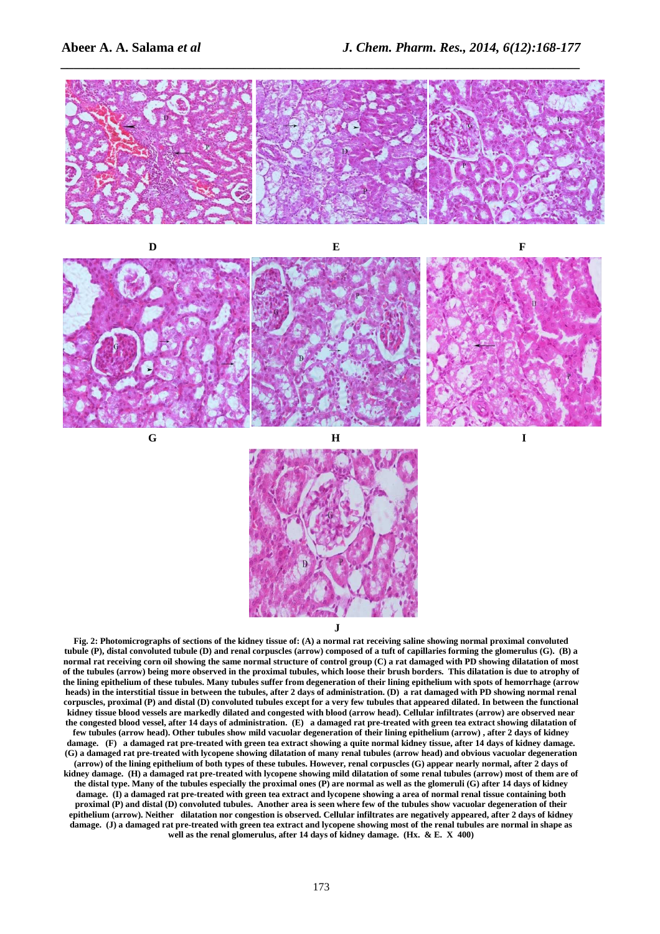



**G**

**H I** 



**J** 

**Fig. 2: Photomicrographs of sections of the kidney tissue of: (A) a normal rat receiving saline showing normal proximal convoluted tubule (P), distal convoluted tubule (D) and renal corpuscles (arrow) composed of a tuft of capillaries forming the glomerulus (G). (B) a normal rat receiving corn oil showing the same normal structure of control group (C) a rat damaged with PD showing dilatation of most of the tubules (arrow) being more observed in the proximal tubules, which loose their brush borders. This dilatation is due to atrophy of the lining epithelium of these tubules. Many tubules suffer from degeneration of their lining epithelium with spots of hemorrhage (arrow heads) in the interstitial tissue in between the tubules, after 2 days of administration. (D) a rat damaged with PD showing normal renal corpuscles, proximal (P) and distal (D) convoluted tubules except for a very few tubules that appeared dilated. In between the functional kidney tissue blood vessels are markedly dilated and congested with blood (arrow head). Cellular infiltrates (arrow) are observed near the congested blood vessel, after 14 days of administration. (E) a damaged rat pre-treated with green tea extract showing dilatation of few tubules (arrow head). Other tubules show mild vacuolar degeneration of their lining epithelium (arrow) , after 2 days of kidney damage. (F) a damaged rat pre-treated with green tea extract showing a quite normal kidney tissue, after 14 days of kidney damage. (G) a damaged rat pre-treated with lycopene showing dilatation of many renal tubules (arrow head) and obvious vacuolar degeneration (arrow) of the lining epithelium of both types of these tubules. However, renal corpuscles (G) appear nearly normal, after 2 days of kidney damage. (H) a damaged rat pre-treated with lycopene showing mild dilatation of some renal tubules (arrow) most of them are of the distal type. Many of the tubules especially the proximal ones (P) are normal as well as the glomeruli (G) after 14 days of kidney damage. (I) a damaged rat pre-treated with green tea extract and lycopene showing a area of normal renal tissue containing both proximal (P) and distal (D) convoluted tubules. Another area is seen where few of the tubules show vacuolar degeneration of their epithelium (arrow). Neither dilatation nor congestion is observed. Cellular infiltrates are negatively appeared, after 2 days of kidney damage. (J) a damaged rat pre-treated with green tea extract and lycopene showing most of the renal tubules are normal in shape as**  well as the renal glomerulus, after 14 days of kidney damage. (Hx. & E. X 400)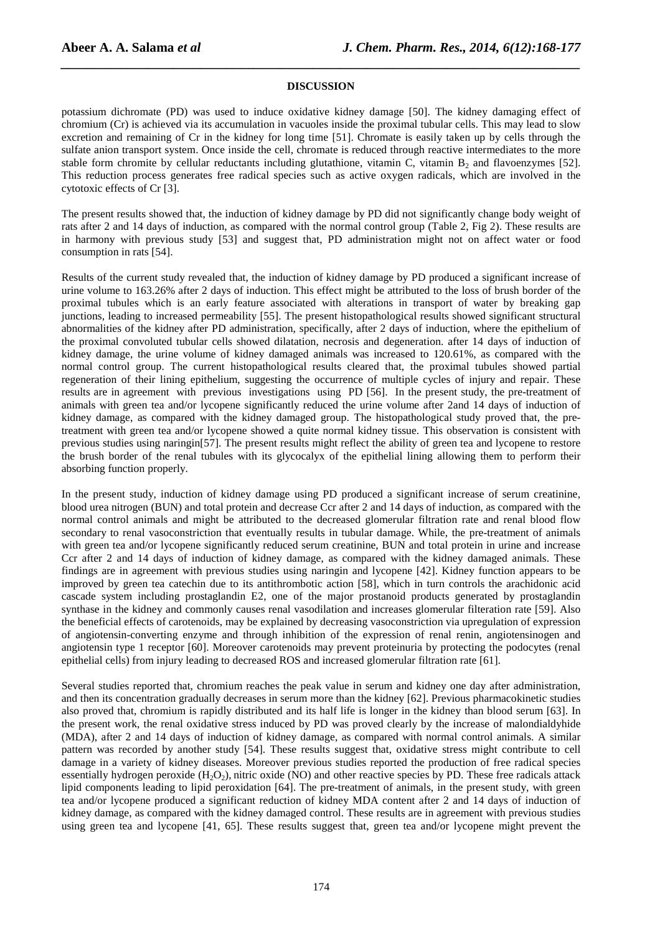# **DISCUSSION**

*\_\_\_\_\_\_\_\_\_\_\_\_\_\_\_\_\_\_\_\_\_\_\_\_\_\_\_\_\_\_\_\_\_\_\_\_\_\_\_\_\_\_\_\_\_\_\_\_\_\_\_\_\_\_\_\_\_\_\_\_\_\_\_\_\_\_\_\_\_\_\_\_\_\_\_\_\_\_*

potassium dichromate (PD) was used to induce oxidative kidney damage [50]. The kidney damaging effect of chromium (Cr) is achieved via its accumulation in vacuoles inside the proximal tubular cells. This may lead to slow excretion and remaining of Cr in the kidney for long time [51]. Chromate is easily taken up by cells through the sulfate anion transport system. Once inside the cell, chromate is reduced through reactive intermediates to the more stable form chromite by cellular reductants including glutathione, vitamin C, vitamin  $B_2$  and flavoenzymes [52]. This reduction process generates free radical species such as active oxygen radicals, which are involved in the cytotoxic effects of Cr [3].

The present results showed that, the induction of kidney damage by PD did not significantly change body weight of rats after 2 and 14 days of induction, as compared with the normal control group (Table 2, Fig 2). These results are in harmony with previous study [53] and suggest that, PD administration might not on affect water or food consumption in rats [54].

Results of the current study revealed that, the induction of kidney damage by PD produced a significant increase of urine volume to 163.26% after 2 days of induction. This effect might be attributed to the loss of brush border of the proximal tubules which is an early feature associated with alterations in transport of water by breaking gap junctions, leading to increased permeability [55]. The present histopathological results showed significant structural abnormalities of the kidney after PD administration, specifically, after 2 days of induction, where the epithelium of the proximal convoluted tubular cells showed dilatation, necrosis and degeneration. after 14 days of induction of kidney damage, the urine volume of kidney damaged animals was increased to 120.61%, as compared with the normal control group. The current histopathological results cleared that, the proximal tubules showed partial regeneration of their lining epithelium, suggesting the occurrence of multiple cycles of injury and repair. These results are in agreement with previous investigations using PD [56]. In the present study, the pre-treatment of animals with green tea and/or lycopene significantly reduced the urine volume after 2and 14 days of induction of kidney damage, as compared with the kidney damaged group. The histopathological study proved that, the pretreatment with green tea and/or lycopene showed a quite normal kidney tissue. This observation is consistent with previous studies using naringin[57]. The present results might reflect the ability of green tea and lycopene to restore the brush border of the renal tubules with its glycocalyx of the epithelial lining allowing them to perform their absorbing function properly.

In the present study, induction of kidney damage using PD produced a significant increase of serum creatinine, blood urea nitrogen (BUN) and total protein and decrease Ccr after 2 and 14 days of induction, as compared with the normal control animals and might be attributed to the decreased glomerular filtration rate and renal blood flow secondary to renal vasoconstriction that eventually results in tubular damage. While, the pre-treatment of animals with green tea and/or lycopene significantly reduced serum creatinine, BUN and total protein in urine and increase Ccr after 2 and 14 days of induction of kidney damage, as compared with the kidney damaged animals. These findings are in agreement with previous studies using naringin and lycopene [42]. Kidney function appears to be improved by green tea catechin due to its antithrombotic action [58], which in turn controls the arachidonic acid cascade system including prostaglandin E2, one of the major prostanoid products generated by prostaglandin synthase in the kidney and commonly causes renal vasodilation and increases glomerular filteration rate [59]. Also the beneficial effects of carotenoids, may be explained by decreasing vasoconstriction via upregulation of expression of angiotensin-converting enzyme and through inhibition of the expression of renal renin, angiotensinogen and angiotensin type 1 receptor [60]. Moreover carotenoids may prevent proteinuria by protecting the podocytes (renal epithelial cells) from injury leading to decreased ROS and increased glomerular filtration rate [61].

Several studies reported that, chromium reaches the peak value in serum and kidney one day after administration, and then its concentration gradually decreases in serum more than the kidney [62]. Previous pharmacokinetic studies also proved that, chromium is rapidly distributed and its half life is longer in the kidney than blood serum [63]. In the present work, the renal oxidative stress induced by PD was proved clearly by the increase of malondialdyhide (MDA), after 2 and 14 days of induction of kidney damage, as compared with normal control animals. A similar pattern was recorded by another study [54]. These results suggest that, oxidative stress might contribute to cell damage in a variety of kidney diseases. Moreover previous studies reported the production of free radical species essentially hydrogen peroxide  $(H_2O_2)$ , nitric oxide (NO) and other reactive species by PD. These free radicals attack lipid components leading to lipid peroxidation [64]. The pre-treatment of animals, in the present study, with green tea and/or lycopene produced a significant reduction of kidney MDA content after 2 and 14 days of induction of kidney damage, as compared with the kidney damaged control. These results are in agreement with previous studies using green tea and lycopene [41, 65]. These results suggest that, green tea and/or lycopene might prevent the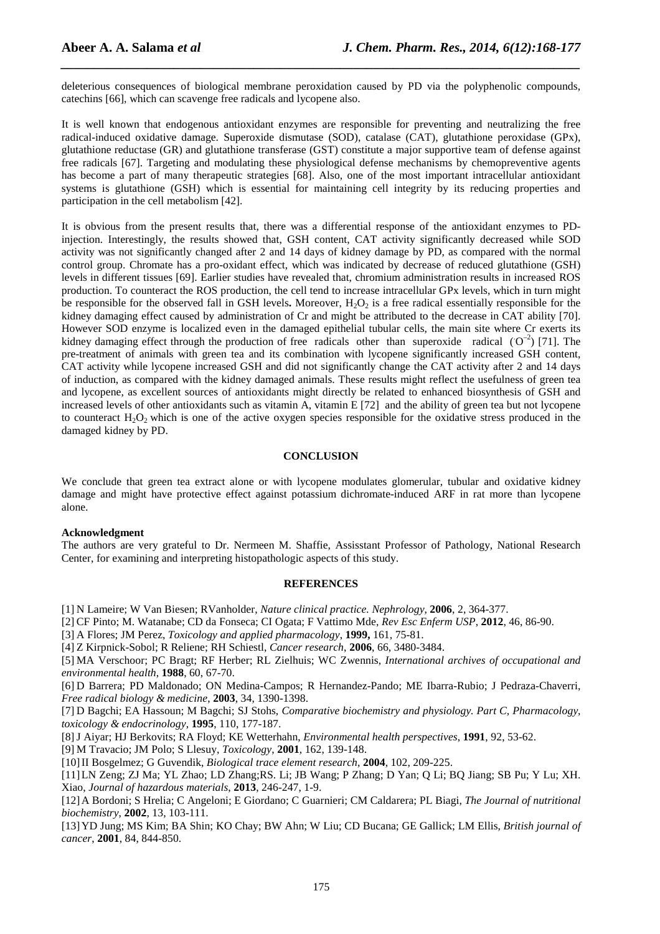deleterious consequences of biological membrane peroxidation caused by PD via the polyphenolic compounds, catechins [66], which can scavenge free radicals and lycopene also.

*\_\_\_\_\_\_\_\_\_\_\_\_\_\_\_\_\_\_\_\_\_\_\_\_\_\_\_\_\_\_\_\_\_\_\_\_\_\_\_\_\_\_\_\_\_\_\_\_\_\_\_\_\_\_\_\_\_\_\_\_\_\_\_\_\_\_\_\_\_\_\_\_\_\_\_\_\_\_*

It is well known that endogenous antioxidant enzymes are responsible for preventing and neutralizing the free radical-induced oxidative damage. Superoxide dismutase (SOD), catalase (CAT), glutathione peroxidase (GPx), glutathione reductase (GR) and glutathione transferase (GST) constitute a major supportive team of defense against free radicals [67]. Targeting and modulating these physiological defense mechanisms by chemopreventive agents has become a part of many therapeutic strategies [68]. Also, one of the most important intracellular antioxidant systems is glutathione (GSH) which is essential for maintaining cell integrity by its reducing properties and participation in the cell metabolism [42].

It is obvious from the present results that, there was a differential response of the antioxidant enzymes to PDinjection. Interestingly, the results showed that, GSH content, CAT activity significantly decreased while SOD activity was not significantly changed after 2 and 14 days of kidney damage by PD, as compared with the normal control group. Chromate has a pro-oxidant effect, which was indicated by decrease of reduced glutathione (GSH) levels in different tissues [69]. Earlier studies have revealed that, chromium administration results in increased ROS production. To counteract the ROS production, the cell tend to increase intracellular GPx levels, which in turn might be responsible for the observed fall in GSH levels. Moreover, H<sub>2</sub>O<sub>2</sub> is a free radical essentially responsible for the kidney damaging effect caused by administration of Cr and might be attributed to the decrease in CAT ability [70]. However SOD enzyme is localized even in the damaged epithelial tubular cells, the main site where Cr exerts its kidney damaging effect through the production of free radicals other than superoxide radical  $(O^{-2})$  [71]. The pre-treatment of animals with green tea and its combination with lycopene significantly increased GSH content, CAT activity while lycopene increased GSH and did not significantly change the CAT activity after 2 and 14 days of induction, as compared with the kidney damaged animals. These results might reflect the usefulness of green tea and lycopene, as excellent sources of antioxidants might directly be related to enhanced biosynthesis of GSH and increased levels of other antioxidants such as vitamin A, vitamin E [72] and the ability of green tea but not lycopene to counteract  $H_2O_2$  which is one of the active oxygen species responsible for the oxidative stress produced in the damaged kidney by PD.

#### **CONCLUSION**

We conclude that green tea extract alone or with lycopene modulates glomerular, tubular and oxidative kidney damage and might have protective effect against potassium dichromate-induced ARF in rat more than lycopene alone.

#### **Acknowledgment**

The authors are very grateful to Dr. Nermeen M. Shaffie, Assisstant Professor of Pathology, National Research Center, for examining and interpreting histopathologic aspects of this study.

### **REFERENCES**

[1] N Lameire; W Van Biesen; RVanholder, *Nature clinical practice. Nephrology*, **2006**, 2, 364-377.

[2] CF Pinto; M. Watanabe; CD da Fonseca; CI Ogata; F Vattimo Mde, *Rev Esc Enferm USP*, **2012**, 46, 86-90.

[3] A Flores; JM Perez, *Toxicology and applied pharmacology*, **1999,** 161, 75-81.

[4] Z Kirpnick-Sobol; R Reliene; RH Schiestl, *Cancer research*, **2006**, 66, 3480-3484.

[5] MA Verschoor; PC Bragt; RF Herber; RL Zielhuis; WC Zwennis, *International archives of occupational and environmental health*, **1988**, 60, 67-70.

[6] D Barrera; PD Maldonado; ON Medina-Campos; R Hernandez-Pando; ME Ibarra-Rubio; J Pedraza-Chaverri, *Free radical biology & medicine*, **2003**, 34, 1390-1398.

[7] D Bagchi; EA Hassoun; M Bagchi; SJ Stohs, *Comparative biochemistry and physiology. Part C, Pharmacology, toxicology & endocrinology*, **1995**, 110, 177-187.

[8]J Aiyar; HJ Berkovits; RA Floyd; KE Wetterhahn, *Environmental health perspectives*, **1991**, 92, 53-62.

[9] M Travacio; JM Polo; S Llesuy, *Toxicology*, **2001**, 162, 139-148.

[10]II Bosgelmez; G Guvendik, *Biological trace element research*, **2004**, 102, 209-225.

[11]LN Zeng; ZJ Ma; YL Zhao; LD Zhang;RS. Li; JB Wang; P Zhang; D Yan; Q Li; BQ Jiang; SB Pu; Y Lu; XH. Xiao, *Journal of hazardous materials*, **2013**, 246-247, 1-9.

[12]A Bordoni; S Hrelia; C Angeloni; E Giordano; C Guarnieri; CM Caldarera; PL Biagi, *The Journal of nutritional biochemistry*, **2002**, 13, 103-111.

[13]YD Jung; MS Kim; BA Shin; KO Chay; BW Ahn; W Liu; CD Bucana; GE Gallick; LM Ellis, *British journal of cancer*, **2001**, 84, 844-850.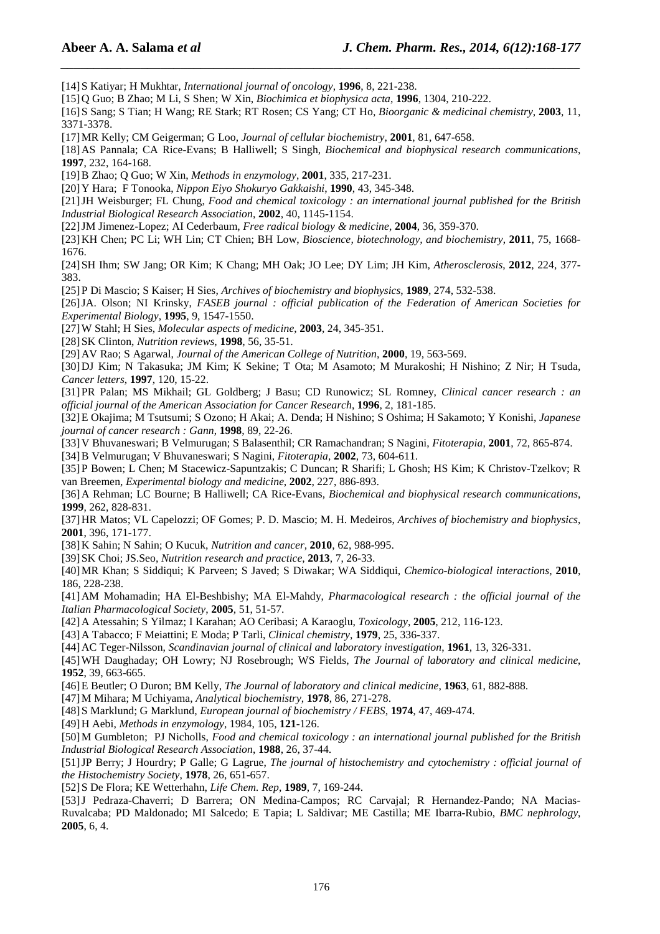[14]S Katiyar; H Mukhtar, *International journal of oncology*, **1996**, 8, 221-238.

[15]Q Guo; B Zhao; M Li, S Shen; W Xin, *Biochimica et biophysica acta*, **1996**, 1304, 210-222.

[16]S Sang; S Tian; H Wang; RE Stark; RT Rosen; CS Yang; CT Ho, *Bioorganic & medicinal chemistry*, **2003**, 11, 3371-3378.

*\_\_\_\_\_\_\_\_\_\_\_\_\_\_\_\_\_\_\_\_\_\_\_\_\_\_\_\_\_\_\_\_\_\_\_\_\_\_\_\_\_\_\_\_\_\_\_\_\_\_\_\_\_\_\_\_\_\_\_\_\_\_\_\_\_\_\_\_\_\_\_\_\_\_\_\_\_\_*

[17]MR Kelly; CM Geigerman; G Loo, *Journal of cellular biochemistry*, **2001**, 81, 647-658.

[18]AS Pannala; CA Rice-Evans; B Halliwell; S Singh, *Biochemical and biophysical research communications*, **1997**, 232, 164-168.

[19]B Zhao; Q Guo; W Xin, *Methods in enzymology*, **2001**, 335, 217-231.

[20]Y Hara; F Tonooka, *Nippon Eiyo Shokuryo Gakkaishi*, **1990**, 43, 345-348.

[21]JH Weisburger; FL Chung, *Food and chemical toxicology : an international journal published for the British Industrial Biological Research Association*, **2002**, 40, 1145-1154.

[22]JM Jimenez-Lopez; AI Cederbaum, *Free radical biology & medicine*, **2004**, 36, 359-370.

[23]KH Chen; PC Li; WH Lin; CT Chien; BH Low, *Bioscience, biotechnology, and biochemistry*, **2011**, 75, 1668- 1676.

[24]SH Ihm; SW Jang; OR Kim; K Chang; MH Oak; JO Lee; DY Lim; JH Kim, *Atherosclerosis*, **2012**, 224, 377- 383.

[25]P Di Mascio; S Kaiser; H Sies, *Archives of biochemistry and biophysics*, **1989**, 274, 532-538.

[26]JA. Olson; NI Krinsky, *FASEB journal : official publication of the Federation of American Societies for Experimental Biology*, **1995**, 9, 1547-1550.

[27]W Stahl; H Sies, *Molecular aspects of medicine*, **2003**, 24, 345-351.

[28]SK Clinton, *Nutrition reviews*, **1998**, 56, 35-51.

[29]AV Rao; S Agarwal, *Journal of the American College of Nutrition*, **2000**, 19, 563-569.

[30]DJ Kim; N Takasuka; JM Kim; K Sekine; T Ota; M Asamoto; M Murakoshi; H Nishino; Z Nir; H Tsuda, *Cancer letters*, **1997**, 120, 15-22.

[31]PR Palan; MS Mikhail; GL Goldberg; J Basu; CD Runowicz; SL Romney, *Clinical cancer research : an official journal of the American Association for Cancer Research*, **1996**, 2, 181-185.

[32]E Okajima; M Tsutsumi; S Ozono; H Akai; A. Denda; H Nishino; S Oshima; H Sakamoto; Y Konishi, *Japanese journal of cancer research : Gann*, **1998**, 89, 22-26.

[33]V Bhuvaneswari; B Velmurugan; S Balasenthil; CR Ramachandran; S Nagini, *Fitoterapia*, **2001**, 72, 865-874.

[34]B Velmurugan; V Bhuvaneswari; S Nagini, *Fitoterapia*, **2002**, 73, 604-611.

[35]P Bowen; L Chen; M Stacewicz-Sapuntzakis; C Duncan; R Sharifi; L Ghosh; HS Kim; K Christov-Tzelkov; R van Breemen, *Experimental biology and medicine*, **2002**, 227, 886-893.

[36]A Rehman; LC Bourne; B Halliwell; CA Rice-Evans, *Biochemical and biophysical research communications*, **1999**, 262, 828-831.

[37]HR Matos; VL Capelozzi; OF Gomes; P. D. Mascio; M. H. Medeiros, *Archives of biochemistry and biophysics*, **2001**, 396, 171-177.

[38]K Sahin; N Sahin; O Kucuk, *Nutrition and cancer*, **2010**, 62, 988-995.

[39]SK Choi; JS.Seo, *Nutrition research and practice*, **2013**, 7, 26-33.

[40]MR Khan; S Siddiqui; K Parveen; S Javed; S Diwakar; WA Siddiqui, *Chemico-biological interactions*, **2010**, 186, 228-238.

[41]AM Mohamadin; HA El-Beshbishy; MA El-Mahdy, *Pharmacological research : the official journal of the Italian Pharmacological Society*, **2005**, 51, 51-57.

[42]A Atessahin; S Yilmaz; I Karahan; AO Ceribasi; A Karaoglu, *Toxicology*, **2005**, 212, 116-123.

[43]A Tabacco; F Meiattini; E Moda; P Tarli, *Clinical chemistry*, **1979**, 25, 336-337.

[44]AC Teger-Nilsson, *Scandinavian journal of clinical and laboratory investigation*, **1961**, 13, 326-331.

[45]WH Daughaday; OH Lowry; NJ Rosebrough; WS Fields, *The Journal of laboratory and clinical medicine*, **1952**, 39, 663-665.

[46]E Beutler; O Duron; BM Kelly, *The Journal of laboratory and clinical medicine*, **1963**, 61, 882-888.

[47]M Mihara; M Uchiyama, *Analytical biochemistry*, **1978**, 86, 271-278.

[48]S Marklund; G Marklund, *European journal of biochemistry / FEBS*, **1974**, 47, 469-474.

[49]H Aebi, *Methods in enzymology*, 1984, 105, **121**-126.

[50]M Gumbleton; PJ Nicholls, *Food and chemical toxicology : an international journal published for the British Industrial Biological Research Association*, **1988**, 26, 37-44.

[51]JP Berry; J Hourdry; P Galle; G Lagrue, *The journal of histochemistry and cytochemistry : official journal of the Histochemistry Society*, **1978**, 26, 651-657.

[52]S De Flora; KE Wetterhahn, *Life Chem. Rep*, **1989**, 7, 169-244.

[53]J Pedraza-Chaverri; D Barrera; ON Medina-Campos; RC Carvajal; R Hernandez-Pando; NA Macias-Ruvalcaba; PD Maldonado; MI Salcedo; E Tapia; L Saldivar; ME Castilla; ME Ibarra-Rubio, *BMC nephrology*, **2005**, 6, 4.